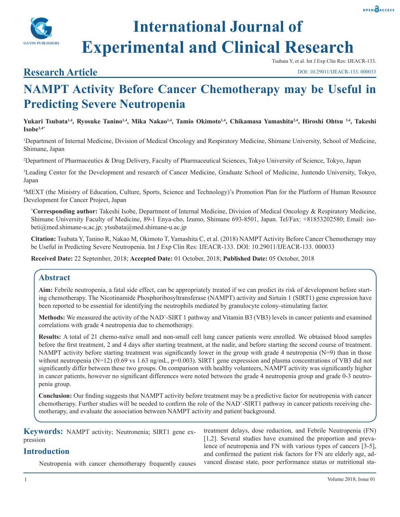



# **International Journal of Experimental and Clinical Research**

### **Research Article**

Tsubata Y, et al. Int J Exp Clin Res: IJEACR-133.

## **NAMPT Activity Before Cancer Chemotherapy may be Useful in Predicting Severe Neutropenia**

**Yukari Tsubata1,4, Ryosuke Tanino1,4, Mika Nakao1,4, Tamio Okimoto1,4, Chikamasa Yamashita2,4, Hiroshi Ohtsu 3,4, Takeshi Isobe1,4\***

1 Department of Internal Medicine, Division of Medical Oncology and Respiratory Medicine, Shimane University, School of Medicine, Shimane, Japan

2 Department of Pharmaceutics & Drug Delivery, Faculty of Pharmaceutical Sciences, Tokyo University of Science, Tokyo, Japan

3 Leading Center for the Development and research of Cancer Medicine, Graduate School of Medicine, Juntendo University, Tokyo, Japan

4 MEXT (the Ministry of Education, Culture, Sports, Science and Technology)'s Promotion Plan for the Platform of Human Resource Development for Cancer Project, Japan

**\* Corresponding author:** Takeshi Isobe, Department of Internal Medicine, Division of Medical Oncology & Respiratory Medicine, Shimane University Faculty of Medicine, 89-1 Enya-cho, Izumo, Shimane 693-8501, Japan. Tel/Fax: +81853202580; Email: isobeti@med.shimane-u.ac.jp; ytsubata@med.shimane-u.ac.jp

**Citation:** Tsubata Y, Tanino R, Nakao M, Okimoto T, Yamashita C, et al. (2018) NAMPT Activity Before Cancer Chemotherapy may be Useful in Predicting Severe Neutropenia. Int J Exp Clin Res: IJEACR-133. DOI: 10.29011/IJEACR-133. 000033

**Received Date:** 22 September, 2018; **Accepted Date:** 01 October, 2018; **Published Date:** 05 October, 2018

#### **Abstract**

**Aim:** Febrile neutropenia, a fatal side effect, can be appropriately treated if we can predict its risk of development before starting chemotherapy. The Nicotinamide Phosphoribosyltransferase (NAMPT) activity and Sirtuin 1 (SIRT1) gene expression have been reported to be essential for identifying the neutrophils mediated by granulocyte colony-stimulating factor.

Methods: We measured the activity of the NAD<sup>+</sup>-SIRT 1 pathway and Vitamin B3 (VB3) levels in cancer patients and examined correlations with grade 4 neutropenia due to chemotherapy.

**Results:** A total of 21 chemo-naïve small and non-small cell lung cancer patients were enrolled. We obtained blood samples before the first treatment, 2 and 4 days after starting treatment, at the nadir, and before starting the second course of treatment. NAMPT activity before starting treatment was significantly lower in the group with grade 4 neutropenia (N=9) than in those without neutropenia (N=12) (0.69 vs 1.63 ng/mL, p=0.003). SIRT1 gene expression and plasma concentrations of VB3 did not significantly differ between these two groups. On comparison with healthy volunteers, NAMPT activity was significantly higher in cancer patients, however no significant differences were noted between the grade 4 neutropenia group and grade 0-3 neutropenia group.

**Conclusion:** Our finding suggests that NAMPT activity before treatment may be a predictive factor for neutropenia with cancer chemotherapy. Further studies will be needed to confirm the role of the NAD<sup>+</sup>-SIRT1 pathway in cancer patients receiving chemotherapy, and evaluate the association between NAMPT activity and patient background.

| <b>Keywords:</b> NAMPT activity; Neutronenia; SIRT1 gene ex-<br>pression | treatment delays, dose reduction, and Febrile Neutropenia (FN)<br>[1,2]. Several studies have examined the proportion and preva-       |
|--------------------------------------------------------------------------|----------------------------------------------------------------------------------------------------------------------------------------|
| <b>Introduction</b>                                                      | lence of neutropenia and FN with various types of cancers [3-5],<br>and confirmed the patient risk factors for FN are elderly age, ad- |
| Neutropenia with cancer chemotherapy frequently causes                   | vanced disease state, poor performance status or nutritional sta-                                                                      |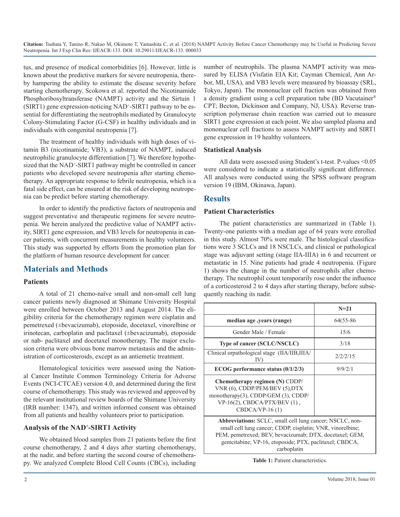tus, and presence of medical comorbidities [6]. However, little is known about the predictive markers for severe neutropenia, thereby hampering the ability to estimate the disease severity before starting chemotherapy. Scokowa et al. reported the Nicotinamide Phosphoribosyltransferase (NAMPT) activity and the Sirtuin 1 (SIRT1) gene expression-noticing NAD<sup>+</sup>-SIRT1 pathway to be essential for differentiating the neutrophils mediated by Granulocyte Colony-Stimulating Factor (G-CSF) in healthy individuals and in individuals with congenital neutropenia [7].

The treatment of healthy individuals with high doses of vitamin B3 (nicotinamide; VB3), a substrate of NAMPT, induced neutrophilic granulocyte differentiation [7]. We therefore hypothesized that the NAD<sup>+</sup>-SIRT1 pathway might be controlled in cancer patients who developed severe neutropenia after starting chemotherapy. An appropriate response to febrile neutropenia, which is a fatal side effect, can be ensured at the risk of developing neutropenia can be predict before starting chemotherapy.

In order to identify the predictive factors of neutropenia and suggest preventative and therapeutic regimens for severe neutropenia. We herein analyzed the predictive value of NAMPT activity, SIRT1 gene expression, and VB3 levels for neutropenia in cancer patients, with concurrent measurements in healthy volunteers. This study was supported by efforts from the promotion plan for the platform of human resource development for cancer.

#### **Materials and Methods**

#### **Patients**

A total of 21 chemo-naïve small and non-small cell lung cancer patients newly diagnosed at Shimane University Hospital were enrolled between October 2013 and August 2014. The eligibility criteria for the chemotherapy regimen were cisplatin and pemetrexed (±bevacizumab), etoposide, docetaxel, vinorelbine or irinotecan, carboplatin and paclitaxel (±bevacizumab), etoposide or nab- paclitaxel and docetaxel monotherapy. The major exclusion criteria were obvious bone marrow metastasis and the administration of corticosteroids, except as an antiemetic treatment.

Hematological toxicities were assessed using the National Cancer Institute Common Terminology Criteria for Adverse Events (NCI-CTCAE) version 4.0, and determined during the first course of chemotherapy. This study was reviewed and approved by the relevant institutional review boards of the Shimane University (IRB number: 1347), and written informed consent was obtained from all patients and healthy volunteers prior to participation.

#### **Analysis of the NAD+ -SIRT1 Activity**

We obtained blood samples from 21 patients before the first course chemotherapy, 2 and 4 days after starting chemotherapy, at the nadir, and before starting the second course of chemotherapy. We analyzed Complete Blood Cell Counts (CBCs), including number of neutrophils. The plasma NAMPT activity was measured by ELISA (Visfatin EIA Kit; Cayman Chemical, Ann Arbor, MI, USA), and VB3 levels were measured by bioassay (SRL, Tokyo, Japan). The mononuclear cell fraction was obtained from a density gradient using a cell preparation tube (BD Vacutainer® CPT; Becton, Dickinson and Company, NJ, USA). Reverse transcription polymerase chain reaction was carried out to measure SIRT1 gene expression at each point. We also sampled plasma and mononuclear cell fractions to assess NAMPT activity and SIRT1 gene expression in 19 healthy volunteers.

#### **Statistical Analysis**

All data were assessed using Student's t-test. P-values <0.05 were considered to indicate a statistically significant difference. All analyses were conducted using the SPSS software program version 19 (IBM, Okinawa, Japan).

#### **Results**

#### **Patient Characteristics**

The patient characteristics are summarized in (Table 1). Twenty-one patients with a median age of 64 years were enrolled in this study. Almost 70% were male. The histological classifications were 3 SCLCs and 18 NSCLCs, and clinical or pathological stage was adjuvant setting (stage IIA-IIIA) in 6 and recurrent or metastatic in 15. Nine patients had grade 4 neutropenia. (Figure 1) shows the change in the number of neutrophils after chemotherapy. The neutrophil count temporarily rose under the influence of a corticosteroid 2 to 4 days after starting therapy, before subsequently reaching its nadir.

|                                                                                                                                                               | $N = 21$  |
|---------------------------------------------------------------------------------------------------------------------------------------------------------------|-----------|
| median age, years (range)                                                                                                                                     | 64(55-86) |
| Gender Male / Female                                                                                                                                          | 15/6      |
| <b>Type of cancer (SCLC/NSCLC)</b>                                                                                                                            | 3/18      |
| Clinical orpathological stage (IIA/IIB, IIIA/<br>IV                                                                                                           | 2/2/2/15  |
| ECOG performance status $(0/1/2/3)$                                                                                                                           | 9/9/2/1   |
| Chemotherapy regimen (N) CDDP/<br>VNR (6), CDDP/PEM/BEV (5), DTX<br>monotherapy(3), CDDP/GEM (3), CDDP/<br>$VP-16(2)$ , CBDCA/PTX/BEV(1),<br>$CBDCA/VP-16(1)$ |           |

**Abbreviations:** SCLC, small cell lung cancer; NSCLC, nonsmall cell lung cancer; CDDP, cisplatin; VNR, vinorelbine; PEM, pemetrexed; BEV, bevacizumab; DTX, docetaxel; GEM, gemcitabine; VP-16, etoposide; PTX, paclitaxel; CBDCA, carboplatin

**Table 1:** Patient characteristics.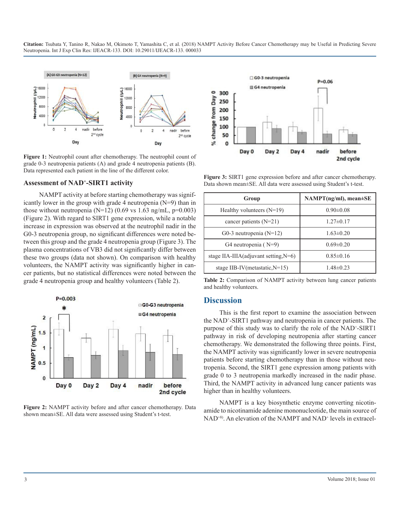

**Figure 1:** Neutrophil count after chemotherapy. The neutrophil count of grade 0-3 neutropenia patients (A) and grade 4 neutropenia patients (B). Data represented each patient in the line of the different color.

#### **Assessment of NAD+ -SIRT1 activity**

NAMPT activity at before starting chemotherapy was significantly lower in the group with grade 4 neutropenia (N=9) than in those without neutropenia ( $N=12$ ) (0.69 vs 1.63 ng/mL, p=0.003) (Figure 2). With regard to SIRT1 gene expression, while a notable increase in expression was observed at the neutrophil nadir in the G0-3 neutropenia group, no significant differences were noted between this group and the grade 4 neutropenia group (Figure 3). The plasma concentrations of VB3 did not significantly differ between these two groups (data not shown). On comparison with healthy volunteers, the NAMPT activity was significantly higher in cancer patients, but no statistical differences were noted between the grade 4 neutropenia group and healthy volunteers (Table 2).



**Figure 2:** NAMPT activity before and after cancer chemotherapy. Data shown mean±SE. All data were assessed using Student's t-test.



**Figure 3:** SIRT1 gene expression before and after cancer chemotherapy. Data shown mean±SE. All data were assessed using Student's t-test.

| Group                                    | $NAMPT(ng/ml)$ , mean $\pm$ SE |
|------------------------------------------|--------------------------------|
| Healthy volunteers $(N=19)$              | $0.90 \pm 0.08$                |
| cancer patients $(N=21)$                 | $1.27 \pm 0.17$                |
| G0-3 neutropenia $(N=12)$                | $1.63 \pm 0.20$                |
| G4 neutropenia $(N=9)$                   | $0.69 \pm 0.20$                |
| stage IIA-IIIA(adjuvant setting, $N=6$ ) | $0.85 \pm 0.16$                |
| stage IIB-IV(metastatic, $N=15$ )        | $1.48 \pm 0.23$                |

**Table 2:** Comparison of NAMPT activity between lung cancer patients and healthy volunteers.

#### **Discussion**

This is the first report to examine the association between the NAD+ -SIRT1 pathway and neutropenia in cancer patients. The purpose of this study was to clarify the role of the NAD<sup>+</sup>-SIRT1 pathway in risk of developing neutropenia after starting cancer chemotherapy. We demonstrated the following three points. First, the NAMPT activity was significantly lower in severe neutropenia patients before starting chemotherapy than in those without neutropenia. Second, the SIRT1 gene expression among patients with grade 0 to 3 neutropenia markedly increased in the nadir phase. Third, the NAMPT activity in advanced lung cancer patients was higher than in healthy volunteers.

NAMPT is a key biosynthetic enzyme converting nicotinamide to nicotinamide adenine mononucleotide, the main source of NAD<sup>+8)</sup>. An elevation of the NAMPT and NAD<sup>+</sup> levels in extracel-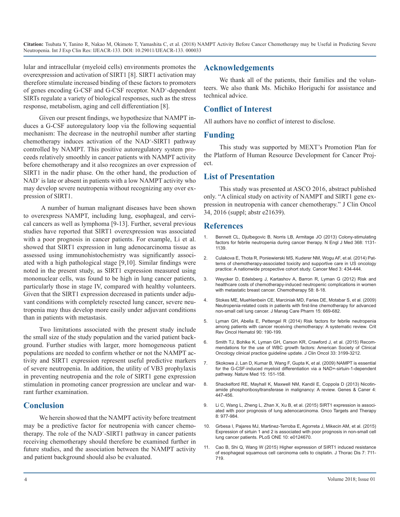lular and intracellular (myeloid cells) environments promotes the overexpression and activation of SIRT1 [8]. SIRT1 activation may therefore stimulate increased binding of these factors to promoters of genes encoding G-CSF and G-CSF receptor. NAD<sup>+</sup>-dependent SIRTs regulate a variety of biological responses, such as the stress response, metabolism, aging and cell differentiation [8].

Given our present findings, we hypothesize that NAMPT induces a G-CSF autoregulatory loop via the following sequential mechanism: The decrease in the neutrophil number after starting chemotherapy induces activation of the NAD<sup>+</sup>-SIRT1 pathway controlled by NAMPT. This positive autoregulatory system proceeds relatively smoothly in cancer patients with NAMPT activity before chemotherapy and it also recognizes an over expression of SIRT1 in the nadir phase. On the other hand, the production of NAD+ is late or absent in patients with a low NAMPT activity who may develop severe neutropenia without recognizing any over expression of SIRT1.

 A number of human malignant diseases have been shown to overexpress NAMPT, including lung, esophageal, and cervical cancers as well as lymphoma [9-13]. Further, several previous studies have reported that SIRT1 overexpression was associated with a poor prognosis in cancer patients. For example, Li et al. showed that SIRT1 expression in lung adenocarcinoma tissue as assessed using immunohistochemistry was significantly associated with a high pathological stage [9,10]. Similar findings were noted in the present study, as SIRT1 expression measured using mononuclear cells, was found to be high in lung cancer patients, particularly those in stage IV, compared with healthy volunteers. Given that the SIRT1 expression decreased in patients under adjuvant conditions with completely resected lung cancer, severe neutropenia may thus develop more easily under adjuvant conditions than in patients with metastasis.

Two limitations associated with the present study include the small size of the study population and the varied patient background. Further studies with larger, more homogeneous patient populations are needed to confirm whether or not the NAMPT activity and SIRT1 expression represent useful predictive markers of severe neutropenia. In addition, the utility of VB3 prophylaxis in preventing neutropenia and the role of SIRT1 gene expression stimulation in promoting cancer progression are unclear and warrant further examination.

#### **Conclusion**

We herein showed that the NAMPT activity before treatment may be a predictive factor for neutropenia with cancer chemotherapy. The role of the NAD<sup>+</sup>-SIRT1 pathway in cancer patients receiving chemotherapy should therefore be examined further in future studies, and the association between the NAMPT activity and patient background should also be evaluated.

#### **Acknowledgements**

We thank all of the patients, their families and the volunteers. We also thank Ms. Michiko Horiguchi for assistance and technical advice.

#### **Conflict of Interest**

All authors have no conflict of interest to disclose.

#### **Funding**

This study was supported by MEXT's Promotion Plan for the Platform of Human Resource Development for Cancer Project.

#### **List of Presentation**

This study was presented at ASCO 2016, abstract published only. "A clinical study on activity of NAMPT and SIRT1 gene expression in neutropenia with cancer chemotherapy." J Clin Oncol 34, 2016 (suppl; abstr e21639).

#### **References**

- 1. [Bennett CL, Djulbegovic B, Norris LB, Armitage JO \(2013\) Colony-stimulating](https://www.ncbi.nlm.nih.gov/pubmed/23514290)  factors for febrile neutropenia during cancer therapy. N Engl J Med 368: 1131- [1139.](https://www.ncbi.nlm.nih.gov/pubmed/23514290)
- 2. [Culakova E, Thota R, Poniewierski MS, Kuderer NM, Wogu AF, et al. \(2014\) Pat](https://www.ncbi.nlm.nih.gov/pmc/articles/PMC3987093/)terns of chemotherapy-associated toxicity and supportive care in US oncology [practice: A nationwide prospective cohort study. Cancer Med 3: 434-444.](https://www.ncbi.nlm.nih.gov/pmc/articles/PMC3987093/)
- 3. [Weycker D, Edelsberg J, Kartashov A, Barron R, Lyman G \(2012\) Risk and](https://www.ncbi.nlm.nih.gov/pubmed/22343254)  healthcare costs of chemotherapy-induced neutropenic complications in wome[n](https://www.ncbi.nlm.nih.gov/pubmed/22343254)  [with metastatic breast cancer. Chemotherapy 58: 8-18.](https://www.ncbi.nlm.nih.gov/pubmed/22343254)
- 4. [Stokes ME, Muehlenbein CE, Marciniak MD, Faries DE, Motabar S, et al. \(2009\)](https://www.ncbi.nlm.nih.gov/pubmed/19803556)  Neutropenia-related costs in patients with first-line chemotherapy for advanced [non-small cell lung cancer. J Manag Care Pharm 15: 669-682.](https://www.ncbi.nlm.nih.gov/pubmed/19803556)
- 5. [Lyman GH, Abella E, Pettengel R \(2014\) Risk factors for febrile neutropenia](https://www.ncbi.nlm.nih.gov/pubmed/24434034)  among patients with cancer receiving chemotherapy: A systematic review. Crit [Rev Oncol Hematol 90: 190-199.](https://www.ncbi.nlm.nih.gov/pubmed/24434034)
- 6. [Smith TJ, Bohlke K, Lyman GH, Carson KR, Crawford J, et al. \(2015\) Recom](https://www.ncbi.nlm.nih.gov/pubmed/26169616)mendations for the use of WBC growth factors: American Society of Clinical [Oncology clinical practice guideline update. J Clin Oncol 33: 3199-3212.](https://www.ncbi.nlm.nih.gov/pubmed/26169616)
- 7. [Skokowa J, Lan D, Kumar B, Wang F, Gupta K, et al. \(2009\) NAMPT is essential](https://www.ncbi.nlm.nih.gov/pubmed/19182797)  for the G-CSF-induced myeloid differentiation via a NAD+-sirtuin-1-dependent [pathway. Nature Med 15: 151-158.](https://www.ncbi.nlm.nih.gov/pubmed/19182797)
- 8. [Shackelford RE, Mayhall K, Maxwell NM, Kandil E, Coppola D \(2013\) Nicotin](https://www.ncbi.nlm.nih.gov/pubmed/24386506)amide phosphoribosyltransferase in malignancy: A review. Genes & Caner 4: [447-456.](https://www.ncbi.nlm.nih.gov/pubmed/24386506)
- 9. [Li C, Wang L, Zheng L, Zhan X, Xu B, et al. \(2015\) SIRT1 expression is associ](https://www.ncbi.nlm.nih.gov/pubmed/25995644)ated with poor prognosis of lung adenocarcinoma. Onco Targets and Therap[y](https://www.ncbi.nlm.nih.gov/pubmed/25995644)  [8: 977-984.](https://www.ncbi.nlm.nih.gov/pubmed/25995644)
- 10. [Grbesa I, Pajares MJ, Martinez-Terroba E, Agorreta J, Mikecin AM, et al. \(2015\)](https://www.ncbi.nlm.nih.gov/pubmed/25915617)  Expression of sirtuin 1 and 2 is associated with poor prognosis in non-small cell [lung cancer patients. PLoS ONE 10: e0124670.](https://www.ncbi.nlm.nih.gov/pubmed/25915617)
- 11. [Cao B, Shi Q, Wang W \(2015\) Higher expression of SIRT1 induced resistance](https://www.ncbi.nlm.nih.gov/pubmed/25973238)  of esophageal squamous cell carcinoma cells to cisplatin. J Thorac Dis 7: 711- [719.](https://www.ncbi.nlm.nih.gov/pubmed/25973238)